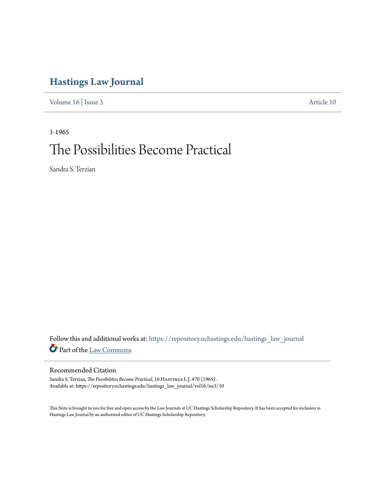# **[Hastings Law Journal](https://repository.uchastings.edu/hastings_law_journal?utm_source=repository.uchastings.edu%2Fhastings_law_journal%2Fvol16%2Fiss3%2F10&utm_medium=PDF&utm_campaign=PDFCoverPages)**

[Volume 16](https://repository.uchastings.edu/hastings_law_journal/vol16?utm_source=repository.uchastings.edu%2Fhastings_law_journal%2Fvol16%2Fiss3%2F10&utm_medium=PDF&utm_campaign=PDFCoverPages) | [Issue 3](https://repository.uchastings.edu/hastings_law_journal/vol16/iss3?utm_source=repository.uchastings.edu%2Fhastings_law_journal%2Fvol16%2Fiss3%2F10&utm_medium=PDF&utm_campaign=PDFCoverPages) [Article 10](https://repository.uchastings.edu/hastings_law_journal/vol16/iss3/10?utm_source=repository.uchastings.edu%2Fhastings_law_journal%2Fvol16%2Fiss3%2F10&utm_medium=PDF&utm_campaign=PDFCoverPages)

1-1965 The Possibilities Become Practical

Sandra S. Terzian

Follow this and additional works at: [https://repository.uchastings.edu/hastings\\_law\\_journal](https://repository.uchastings.edu/hastings_law_journal?utm_source=repository.uchastings.edu%2Fhastings_law_journal%2Fvol16%2Fiss3%2F10&utm_medium=PDF&utm_campaign=PDFCoverPages) Part of the [Law Commons](http://network.bepress.com/hgg/discipline/578?utm_source=repository.uchastings.edu%2Fhastings_law_journal%2Fvol16%2Fiss3%2F10&utm_medium=PDF&utm_campaign=PDFCoverPages)

# Recommended Citation

Sandra S. Terzian, *The Possibilities Become Practical*, 16 HASTINGS L.J. 470 (1965). Available at: https://repository.uchastings.edu/hastings\_law\_journal/vol16/iss3/10

This Note is brought to you for free and open access by the Law Journals at UC Hastings Scholarship Repository. It has been accepted for inclusion in Hastings Law Journal by an authorized editor of UC Hastings Scholarship Repository.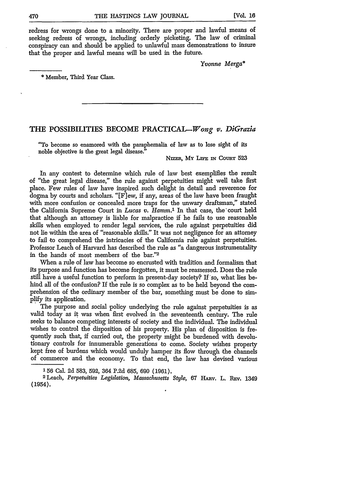redress for wrongs done to a minority. There are proper and lawful means of seeking redress of wrongs, including orderly picketing. The law of criminal conspiracy can and should be applied to unlawful mass demonstrations to insure that the proper and lawful means will be used in the future.

*Yvonne Merga\**

Member, Third Year Class.

# THE **POSSIBILITIES BECOME** PRACTICAL-Wong *v. DiGrazia*

"To become so enamored with the paraphernalia of law as to lose sight of its noble objective is the great legal disease."

**NIZER, MY LIFE IN COURT 523** 

In any contest to determine which rule of law best exemplifies the result of "the great legal disease," the rule against perpetuities might well take first place. Few rules of law have inspired such delight in detail and reverence for dogma by courts and scholars. "[F]ew, if any, areas of the law have been fraught with more confusion or concealed more traps for the unwary draftsman," stated the California Supreme Court in *Lucas v. Hamm.1* In that case, the'court held that although an attorney is liable for malpractice if he fails to use reasonable skills when employed to render legal services, the rule against perpetuities did not lie within the area of "reasonable skills." It was not negligence for an attorney to fail to comprehend the intricacies of the California rule against perpetuities. Professor Leach of Harvard has described the rule as "a dangerous instrumentality in the hands of most members of the bar."2

When a rule of law has become so encrusted with tradition and formalism that its purpose and function has become forgotten, it must be reassessed. Does the rule still have a useful function to perform in present-day society? If'so, what lies behind all of the confusion? If the rule is so complex as to be held beyond the comprehension of the ordinary member of the bar, something must be done to sim**plify** its application.

The purpose and social policy underlying the rule against perpetuities is as valid today as it was when first evolved in the seventeenth century. The rule seeks to balance competing interests of society and the individual. The individual wishes to control the disposition of his property. His plan of disposition is frequently such that, if carried out, the property might be burdened with devolutionary controls for innumerable generations to come. Society wishes property kept free of burdens which would unduly hamper its flow through the channels of commerce and the economy. To that end, the law has devised various

<sup>156</sup> Cal. 2d 583, 592, 364 P.2d 685, 690 (1961). <sup>2</sup> Leach, *Perpetuities Legislation, Massachusetts Style,* 67 **HARv.** L. **hEy.** <sup>1349</sup> (1954).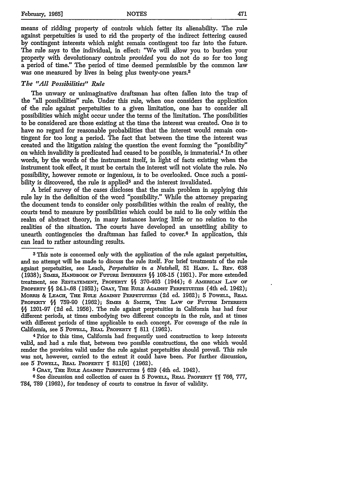means of ridding property of controls which fetter its alienability. The rule against perpetuities is used to rid the property of the indirect fettering caused by contingent interests which might remain contingent too far into the future. The rule says to the individual, in effect: 'Ve will allow you to burden your property with devolutionary controls *provided* you do not do so for too long a period of time." The period of time deemed permissible by the common law was one measured by lives in being plus twenty-one years.<sup>3</sup>

#### *The* **"All** *Possibilities" Rule*

The unwary or unimaginative draftsman has often fallen into the trap of the "all possibilities" rule. Under this rule, when one considers the application of the rule against perpetuities to a given limitation, one has to consider all possibilities which might occur under the terms of the limitation. The possibilities to be considered are those existing at the time the interest was created. One is to have no regard for reasonable probabilities that the interest would remain contingent for too long a period. The fact that between the time the interest was created and the litigation raising'the question the event forming the "possibility" on which invalidity is predicated had ceased to be possible, is immaterial. 4 In other words, by the words of the instrument itself, in light of facts existing when the instrument took effect, it must be certain the interest will not violate the rule. No possibility, however remote or ingenious, is to be overlooked. Once such a possibility is discovered, the rule is applied<sup>5</sup> and the interest invalidated.

**A** brief survey of the cases discloses that the main problem in applying this rule lay in the definition of the word "possibility." While the attorney preparing the document tends to consider only possibilities within the realm of reality, the courts tend to measure by possibilities which could be said to lie only within the realm of abstract theory, in many instances having little or no relation to the realities of the situation. The courts have developed an unsettling ability to unearth contingencies the draftsman has failed to cover.<sup>6</sup> In application, this can lead to rather astounding results.

**3** This note is concerned only with the application of the rule against perpetuities, and no attempt will be made to discuss the rule itself. For brief treatments of the rule against perpetuities, see Leach, *Perpetuities in a Nutshell,* 51 HAzv. L. REv. 638 (1938); Sams, HADBooxc OF Fuuaa I TEESTs **§§** 108-15 (1951). For more extended treatment, see **RESTATEMENT, PROPERTY §§** 370-403 (1944); 6 **AMERicAN** LAw **OF** PROPERTY §§ 24.1-.68 (1952); GRAY, THE RULE AGAINST PERPETUITIES (4th ed. 1942); MoRRIs & **LEACH, TxE** RurLE **AGAINST** PERPETurrms (2d ed. 1962); 5 **PowELL, REAL** PROPERTY § 759-90 (1962); SIMES & SMITH, THE LAW OF FUTURE INTERESTS **§§** 1201-97 **(2d** ed. 1956). The rule against perpetuities in California has had four different periods, at times embodying two different concepts in the rule, and at times with different periods of time applicable to each concept. For coverage of the rule in California, see 5 PowELL, REAL PROPERTY **[** 811 (1962).

4Prior to this time, California had frequently used construction to keep interests valid, and had a rule that, between two possible constructions, the one which would render the provision valid under the rule against perpetuities should prevail. This rule was not, however, carried to the extent it could have been. For further discussion, see 5 POwELL, **REAL** PROPERTY **ff 811[6]** (1962).

**5** GRAY, THE RULE AGAINST PERPETUrrIES **§** 629 (4th ed. 1942).

**6 See** discussion and collection of cases in 5 PowELL, REAL PROPERTY **fftf** 766, 777, 784, 789 (1962), for tendency of courts to construe in favor of validity.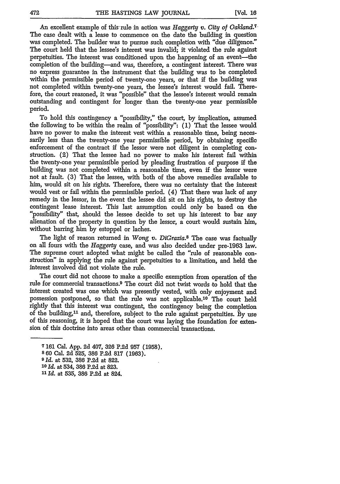An excellent example of this rule in action was *Haggerty v. City of Oakland.7* The case dealt with a lease to commence on the date the building in question was completed. The builder was to pursue such completion with "due diligence." The court held that the lessee's interest was invalid; it violated the rule against perpetuities. The interest was conditioned upon the happening of an event-the completion of the building-and was, therefore, a contingent interest. There was no express guarantee in the instrument that the building was to be completed within the permissible period of twenty-one years, or that if the building was not completed within twenty-one years, the lessee's interest would fail. Therefore, the court reasoned, it was "possible" that the lessee's interest would remain outstanding and contingent for longer than the twenty-one year permissible period.

To hold this contingency a "possibility," the court, by implication, assumed the following to be within the realm of "possibility": (1) That the lessee would have no power to make the interest vest within a reasonable time, being necessarily less than the twenty-one year permissible period, by obtaining specific enforcement of the contract if the lessor were not diligent in completing construction. (2) That the lessee had no power to make his interest fail within the twenty-one year permissible period by pleading frustration of purpose if the building was not completed within a reasonable time, even if the lessor were not at fault. (3) That the lessee, with both of the above remedies available to him, would sit on his rights. Therefore, there was no certainty that the interest would vest or fail within the permissible period. (4) That there was lack of any remedy in the lessor, in the event the lessee did sit on his rights, to destroy the contingent lease interest. This last assumption could only be based on the "possibility" that, should the lessee decide to set up his interest to bar any alienation of the property in question by the lessor, a court would sustain him, without barring him by estoppel or laches.

The light of reason returned in *Wong v. DiGrazia.8* The case was factually on all fours with the *Haggerty* case, and was also decided under pre-1963 law. The supreme court adopted what might be called the "rule of reasonable construction" in applying the rule against perpetuities to a limitation, and held the interest involved did not violate the rule.

The court did not choose to make a specific exemption from operation of the rule for commercial transactions. 9 The court did not twist words to hold that the interest created was one which was presently vested, with only enjoyment and possession postponed, so that the rule was not applicable1o The court held rightly that this interest was contingent, the contingency being the completion of the building,<sup>11</sup> and, therefore, subject to the rule against perpetuities. By use of this reasoning, it is hoped that the court was laying the foundation for extension of this doctrine into areas other than commercial transactions.

**<sup>7</sup>** 161 Cal. App. 2d 407, 326 P.2d 957 (1958).

**<sup>8 60</sup>** Cal. 2d 525, **386 P.2d 817** (1963).

*<sup>9</sup> Id.* at 532, **386** P.2d at 822.

*<sup>1</sup>l Id.* at 534, **386** P.2d at 823.

*<sup>11</sup> Id.* at 535, **386** P.2d at 824.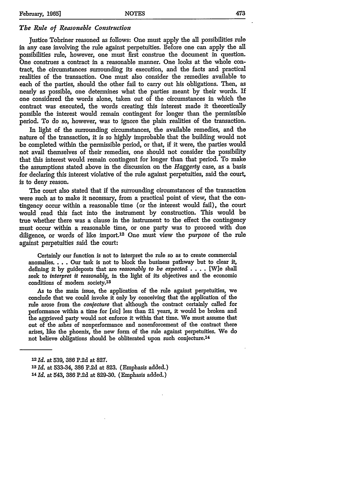# *The Rule of Reasonable Construction*

Justice Tobriner reasoned as follows: One must apply the all possibilities rule in any case involving the rule against perpetuities. Before one can apply the all possibilities rule, however, one must first construe the document in question. One construes a contract in a reasonable manner. One looks at the whole contract, the circumstances surrounding its execution, and the facts and practical realities of the transaction. One must also consider the remedies available to each of the parties, should the other fail to carry out his obligations. Then, as nearly as possible, one determines what the parties meant by their words. If one considered the words alone, taken out of the circumstances in which the contract was executed, the words creating this interest made it theoretically possible the interest would remain contingent for longer than the permissible period. To do so, however, was to ignore the plain realities of the transaction.

In light of the surrounding circumstances, the available remedies, and the nature of the transaction, it is so highly improbable that the building would not be completed within the permissible period, or that, if it were, the parties would not avail themselves of their remedies, one should not consider the possibility that this interest would remain contingent for longer than that period. To make the assumptions stated above in the discussion on the *Haggerty* case, as a basis for declaring this interest violative of the rule against perpetuities, said the court, is to deny reason.

The court also stated that **if** the surrounding circumstances of the transaction were such as to make it necessary, from a practical point of view, that the contingency occur within a reasonable time (or the interest would fail), the court would read this fact into the instrument by construction. This would be true whether there was a clause in the instrument to the effect the contingency must occur within a reasonable time, or one party was to proceed with due diligence, or words of like import.12 One must view the *purpose* of the rule against perpetuities said the court:

Certainly our function is not to interpret the rule so as to create commercial anomalies.... Our task is not to block the business pathway but to clear it, defining it by guideposts that are *reasonably to be expected* .... [W]e shall seek to *interpret it reasonably,* in the light of its objectives and the economic conditions of modem society.13

As to the main issue, the application of the rule against perpetuities, we conclude that we could invoke it only by conceiving that the application of the rule arose from the *conjecture* that although the contract certainly called for performance within a time for [sic] less than 21 years, it would be broken and the aggrieved party would not enforce it within that time. We must assume that out of the ashes of nonperformance and nonenforcement of the contract there arises, like the phoenix, the new form of the rule against perpetuities. We do not believe obligations should be obliterated upon such conjecture.14

**<sup>12</sup>** *Id.* at 539, **386** P.2d at 827.

**<sup>13</sup>***Id.* at 533-34, **386** P.2d at 823. (Emphasis added.)

**<sup>14</sup>** *Id.* at 543, **386** P.2d at 829-30. (Emphasis added.)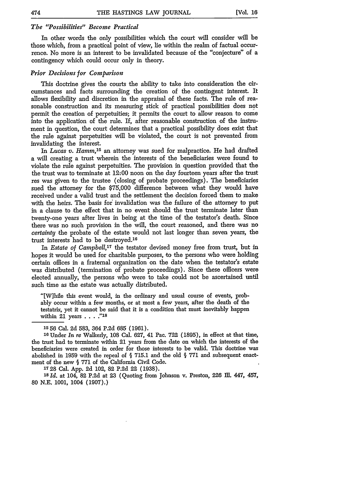#### *The "Possibilities" Become Practical*

In other words the only possibilities which the court will consider will be those which, from a practical point of view, lie within the realm of factual occurrence. No more is an interest to be invalidated because of the "conjecture" of a contingency which could occur only in theory.

## *Prior Decisions for Comparison*

This doctrine gives the courts the ability to take into consideration the circumstances and facts surrounding the creation of the contingent interest. It allows flexibility and discretion in the appraisal of these facts. The rule of reasonable construction and its measuring stick of practical possibilities does not permit the creation of perpetuities; it permits the court to allow reason to come into the application of the rule. If, after reasonable construction of the instrument in question, the court determines that a practical possibility does exist that the rule against perpetuities will be violated, the court is not prevented from invalidating the interest.

In *Lucas v. Hamm,15* an attorney was sued for malpractice. He had drafted a will creating a trust wherein the interests of the beneficiaries were found to violate the rule against perpetuities. The provision in question provided that the the trust was to terminate at 12:00 noon on the day fourteen years after the trust res was given to the trustee (closing of probate proceedings). The beneficiaries sued the attorney for the \$75,000 difference between what they would have received under a valid trust and the settlement the decision forced them to make with the heirs. The basis for invalidation was the failure of the attorney to put in a clause to the effect that in no event should the trust terminate later than twenty-one years after lives in being at the time of the testator's death. Since there was no such provision in the will, the court reasoned, and there was no *certainty* the probate of the estate would not last longer than seven years, the trust interests had to be destroyed. <sup>16</sup>

In *Estate of Campbell,17* the testator devised money free from trust, but in hopes it would be used for charitable purposes, to the persons who were holding certain offices in a fraternal organization on the date when the testator's estate was distributed (termination of probate proceedings). Since these officers were elected annually, the persons who were to take could not be ascertained until such time as the estate was actually distributed.

"[W]hile this event would, in the ordinary and usual course of events, probably occur within a few months, or at most a few years, after the death of the testatrix, yet it cannot be said that it is a condition that must inevitably happen within 21 years **... "18**

**<sup>16</sup>**Under *In re* Walkerly, 108 Cal. 627, 41 Pac. 722 **(1895),** in effect at that time, the trust had to terminate within 21 years from the date on which the interests of the beneficiaries were created in order for those interests to be valid. This doctrine was abolished in 1959 with the repeal of  $\S$  715.1 and the old  $\S$  771 and subsequent enactment of the new § **771** of the California Civil Code.

**1728** Cal. **App.** 2d 102, **82 P.2d** 22 **(1938).**

18 Id. at 104, 82 P.2d at 23 (Quoting from Johnson v. Preston, 226 Ill. 447, 457, **80 N.E. 1001,** 1004 **(1907).)**

**<sup>15 56</sup>** Cal. 2d 583, 364 P.2d 685 (1961).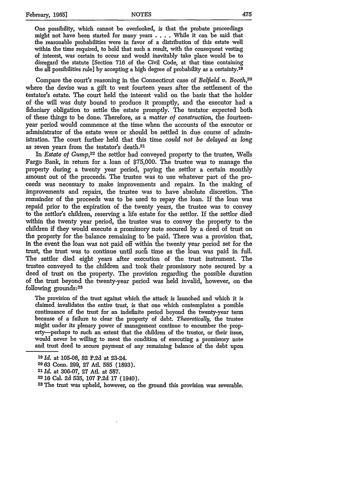One possibility, which cannot be overlooked, is that the probate proceedings might not have been started for many years . ... While it can be said that the reasonable probabilities were in favor of a distribution of this estate well within the time required, to hold that such a result, with the consequent vesting of interest, was certain to occur and would inevitably take place would be to disregard the statute [Section **716** of the Civil Code, at that time containing the all possibilities rule] **by** accepting a high degree of probability as a certainty. <sup>19</sup>

Compare the court's reasoning in the Connecticut case of *Belfield v. Booth*<sup>20</sup> where the devise was a gift to vest fourteen years after the settlement of the testator's estate. The court held the interest valid on the basis that the holder of the will was duty bound to produce it promptly, and the executor had a fiduciary obligation to settle the estate promptly. The testator expected both of these things to be done. Therefore, as a *matter of construction,* the fourteenyear period would commence at the time when the accounts of the executor or administrator of the estate were or should be settled in due course of administration. The court further held that this time *could not be delayed as long* as seven years from the testator's death.<sup>21</sup>

In *Estate of Gump,22* the settlor had conveyed property to the trustee, Wells Fargo Bank, in return for a loan of \$75,000. The trustee was to manage the property during a twenty year period, paying the settlor a certain monthly amount out of the proceeds. The trustee was to use whatever part of the proceeds was necessary to make improvements and repairs. In the making of improvements and repairs, the trustee was to have absolute discretion. The remainder of the proceeds was to be used to repay the loan. If the loan was repaid prior to the expiration of the twenty years, the trustee was to convey to the settlor's children, reserving a life estate for the settlor. If the settlor died within the twenty year period, the trustee was to convey the property to the children if they would execute a promissory note secured by a deed of trust on the property for the balance remaining to be paid. There was a provision that, in the event the loan was not paid off within the twenty year period set for the trust, the trust was to continue until sucfi time as the loan was paid in full. The settlor died eight years after execution of the trust instrument. The trustee conveyed to the children and took their promissory note secured by a deed of trust on the property. The provision regarding the possible duration of the trust beyond the twenty-year period was held invalid, however, on the following grounds: <sup>23</sup>

The provision of the trust against which the attack is launched and which it is claimed invalidates the entire trust, is that one which contemplates a possible continuance of the trust for an indefinite period beyond the twenty-year term because of a failure to clear the property of debt. *Theoretically,* the trustee might under its plenary power of management continue to encumber the property-perhaps to such an extent that the children of the trustor, or their issue, would never be willing to meet the condition of executing a promissory note and trust deed to secure payment of any remaining balance of the debt upon

- **2063** Conn. 299, **27** Atl. **585** (1893).
- *21 Id.* at 306-07, **27** Ad. at 587.
- 
- **22 16** Cal. 2d **535,** 107 P.2d 17 (1940). <sup>23</sup> The trust was upheld, however, on the ground this provision was severable.

*<sup>19</sup>Id.* at 105-06, 82 P.2d at 23-24.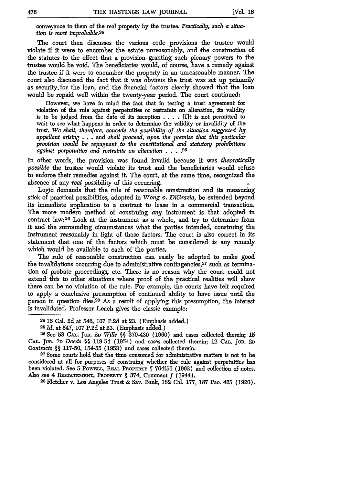conveyance to them of the real property **by** the trustee. *Practically, such a situation is most improbable.24*

The court then discusses the various code provisions the trustee would violate if it were to encumber the estate unreasonably, and the construction of the statutes to the effect that a provision granting such plenary powers to the trustee would be void. The beneficiaries would, of course, have a remedy against the trustee **ff** it were to encumber the property in an unreasonable manner. The court also discussed the fact that it was obvious the trust was set up primarily as security.for the loan, and the financial factors clearly showed that the loan would be repaid well within the twenty-year period. The court continued:

However, we have in mind the fact that in testing a trust agreement for violation of the rule against perpetuities or restraints on alienation, its validity is to be judged from the date of its inception . **. .** . [Ilt is not permitted to wait to see what happens in order to determine the validity or invalidity of the trust. *We shall, therefore, concede the possibility of the situation suggested by appellant arising* . . . and *shall proceed, upon the premise that this particular provision would be repugnant to the constitutional and statutory prohibitions against perpetuities and restraints on alienation . . . .25*

In other words, the provision was found invalid because it was *theoretically possible* the trustee would violate its trust and the beneficiaries would refuse to enforce their remedies against it. The court, at the same time, recognized the absence of any *real* possibility of this occurring.

Logic demands that the rule of reasonable construction and its measuring stick of practical possibilities, adopted in *Wong v. DiGrazia,* be extended beyond its immediate application to a contract to lease in a commercial transaction. The more modem method of construing *any* instrument is that adopted in contract law: 26 Look at the instrument as a whole, and try to determine from it and the surrounding circumstances what the parties intended, construing the instrument reasonably in light of those factors. The court is also correct in its statement that one of the factors which must be considered is any remedy which would be available to each of'the parties.

The rule of reasonable construction can easily be adopted to make good the invalidations occurring due to administrative contingencies,  $27$  such as termination of probate proceedings, etc. There is no reason why the court could not extend this to other situations where proof of the practical realities will show there can be no violation of the rule. For example, the courts have felt required to apply a conclusive presumption of continued ability to have issue until the person in question dies.28 As a result of applying this presumption, the interest is invalidated. Professor Leach gives the classic example:

<sup>24</sup> **16** Cal. **2d** at 546, **107 P.2d** at 23. (Emphasis added.)

**<sup>25</sup>***Id.* at 547, 107 P.2d at 23. (Emphasis added.)

**<sup>26</sup>See** 53 **CAL.** Jur. **2D** *Wills §§* 370-430 (1960) and cases collected therein; 15 **CAL.** Jur. **2D** *Deeds §§* 119-54 (1954) and cases collected therein; 12 **CAL.** Jur. **2D** *Contracts §§* 117-50, 154-55 (1953) and cases collected therein.

*<sup>27</sup>* Some courts hold that the time consumed for administrative matters is not to be considered at all for purposes of construing whether the rule against perpetuities has been violated. See 5 PowELL, **REAL PRoPERTY ff** 764[5] (1962) and collection of notes. Also see 4 RESTATEMENT, PROPERTY § 374, Comment *f* (1944).<br><sup>28</sup> Fletcher v. Los Angeles Trust & Sav. Bank, 182 Cal. 177, 187 Pac. 425 (1920).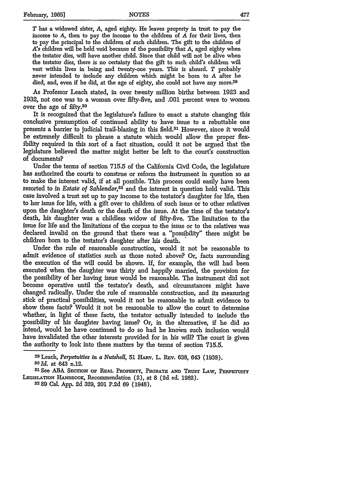*T* has a widowed sister, *A,* aged eighty. He leaves property in trust to pay the income to *A,* then to pay the income to the children of *A* for their lives, then to pay the principal to the children of such children. The gift to the children of *A's* children will be held void because of the possibility that *A,* aged eighty when the testator dies, will have another child. Since that child will not be alive when the testator dies, there is no certainty that the gift to such child's children will vest within lives in being and twenty-one years. This is absurd. *T* probably never intended to include any children which might be born to *A* after he died, and, even if he did, at the age of eighty, she could not have any more.<sup>29</sup>

As Professor Leach stated, in over twenty million births between 1923 and 1932, not one was to a woman over fifty-five, and .001 percent were to women over the age of fifty.<sup>30</sup>

It is recognized that the legislature's failure to enact a statute changing this conclusive presumption of continued ability to have issue to a rebuttable one presents a barrier to judicial trail-blazing in this field.31 However, since it would be extremely difficult to phrase a statute which would allow the proper flexibility required in this sort of a fact situation, could it not be argued that the legislature believed the matter might better be left to the court's construction of documents?

Under the terms of section 715.5 of the California Civil Code, the legislature has authorized the courts to construe or reform the instrument in question so as to make the interest valid, if at all possible. This process could easily have been resorted to in *Estate of Sahlender,32* and the interest in question held valid. This case involved a trust set up to pay income to the testator's daughter for life, then to her issue for life, with a gift over to children of such issue or to other relatives upon the daughter's death or the death of the issue. At the time of the testator's death, his daughter was a childless widow of fifty-five. The limitation to the issue for life and the limitations of the corpus to the issue or to the relatives was declared invalid on the ground that there was a "possibility" there might be children born to the testator's daughter after his death.

Under the rule of reasonable construction, would it not be reasonable to admit evidence of statistics such as those noted above? Or, facts surrounding the execution of the will could be shown. If, for example, the will **had** been executed when the daughter was thirty and happily married, the provision for the possibility of her having issue would be reasonable. The instrument did not become operative until the testator's death, and circumstances might have changed radically. Under the rule of reasonable construction, and its measuring stick of practical possibilities, would it not be reasonable to admit evidence to show these facts? Would it not be reasonable to allow the court to determine whether, in light of these facts, the testator actually intended to include the .Possibility of his daughter having issue? Or, in the alternative, if he did so intend, would he have continued to do so had he known such inclusion would have invalidated the other interests provided for in his will? The court is given the authority to look into these matters **by** the terms of section 715.5.

**31 See ABA SEcTIoN OF** REAL PRoPERTY, **PROBATE AND TRUST** LAW, **PERPETUITY** LEGISLATION HANDBOOK, Recommendation (2), at 8 (2d ed. 1962).

**3289** Cal. App. 2d 329, 201 P.2d 69 (1948).

**<sup>29</sup>**Leach, *Perpetuities in a Nutshell,* **51** I-Av. L. BEv. 638, 643 (1938). *30 Id.* at 643 n.12.